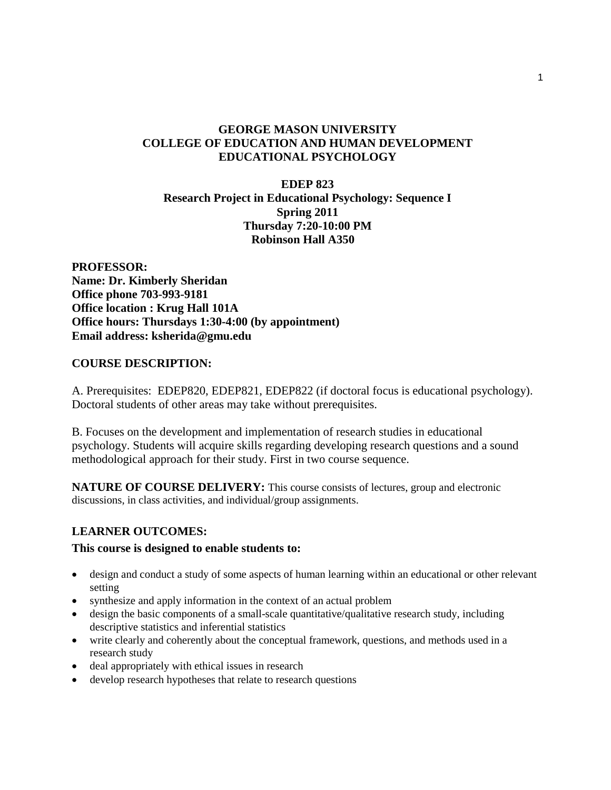# **GEORGE MASON UNIVERSITY COLLEGE OF EDUCATION AND HUMAN DEVELOPMENT EDUCATIONAL PSYCHOLOGY**

## **EDEP 823 Research Project in Educational Psychology: Sequence I Spring 2011 Thursday 7:20-10:00 PM Robinson Hall A350**

**PROFESSOR: Name: Dr. Kimberly Sheridan Office phone 703-993-9181 Office location : Krug Hall 101A Office hours: Thursdays 1:30-4:00 (by appointment) Email address: ksherida@gmu.edu**

## **COURSE DESCRIPTION:**

A. Prerequisites: EDEP820, EDEP821, EDEP822 (if doctoral focus is educational psychology). Doctoral students of other areas may take without prerequisites.

B. Focuses on the development and implementation of research studies in educational psychology. Students will acquire skills regarding developing research questions and a sound methodological approach for their study. First in two course sequence.

**NATURE OF COURSE DELIVERY:** This course consists of lectures, group and electronic discussions, in class activities, and individual/group assignments.

## **LEARNER OUTCOMES:**

## **This course is designed to enable students to:**

- design and conduct a study of some aspects of human learning within an educational or other relevant setting
- synthesize and apply information in the context of an actual problem
- design the basic components of a small-scale quantitative/qualitative research study, including descriptive statistics and inferential statistics
- write clearly and coherently about the conceptual framework, questions, and methods used in a research study
- deal appropriately with ethical issues in research
- develop research hypotheses that relate to research questions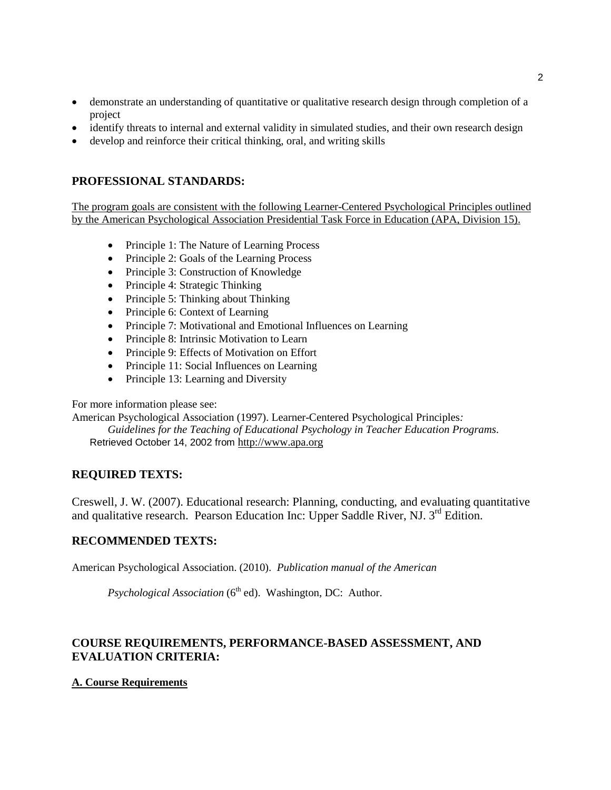- demonstrate an understanding of quantitative or qualitative research design through completion of a project
- identify threats to internal and external validity in simulated studies, and their own research design
- develop and reinforce their critical thinking, oral, and writing skills

# **PROFESSIONAL STANDARDS:**

The program goals are consistent with the following Learner-Centered Psychological Principles outlined by the American Psychological Association Presidential Task Force in Education (APA, Division 15).

- Principle 1: The Nature of Learning Process
- Principle 2: Goals of the Learning Process
- Principle 3: Construction of Knowledge
- Principle 4: Strategic Thinking
- Principle 5: Thinking about Thinking
- Principle 6: Context of Learning
- Principle 7: Motivational and Emotional Influences on Learning
- Principle 8: Intrinsic Motivation to Learn
- Principle 9: Effects of Motivation on Effort
- Principle 11: Social Influences on Learning
- Principle 13: Learning and Diversity

For more information please see:

American Psychological Association (1997). Learner-Centered Psychological Principles*:* 

*Guidelines for the Teaching of Educational Psychology in Teacher Education Programs*. Retrieved October 14, 2002 from [http://www.apa.org](http://www.apa.org/)

## **REQUIRED TEXTS:**

Creswell, J. W. (2007). Educational research: Planning, conducting, and evaluating quantitative and qualitative research. Pearson Education Inc: Upper Saddle River, NJ. 3rd Edition.

## **RECOMMENDED TEXTS:**

American Psychological Association. (2010). *Publication manual of the American* 

*Psychological Association* (6<sup>th</sup> ed). Washington, DC: Author.

# **COURSE REQUIREMENTS, PERFORMANCE-BASED ASSESSMENT, AND EVALUATION CRITERIA:**

## **A. Course Requirements**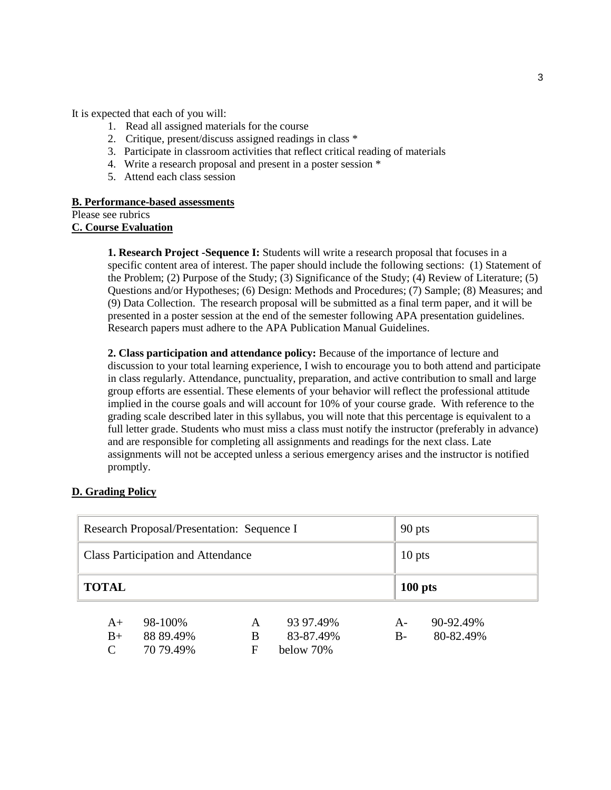It is expected that each of you will:

- 1. Read all assigned materials for the course
- 2. Critique, present/discuss assigned readings in class \*
- 3. Participate in classroom activities that reflect critical reading of materials
- 4. Write a research proposal and present in a poster session \*
- 5. Attend each class session

#### **B. Performance-based assessments**

```
Please see rubrics
```
**C. Course Evaluation**

**1. Research Project -Sequence I:** Students will write a research proposal that focuses in a specific content area of interest. The paper should include the following sections: (1) Statement of the Problem; (2) Purpose of the Study; (3) Significance of the Study; (4) Review of Literature; (5) Questions and/or Hypotheses; (6) Design: Methods and Procedures; (7) Sample; (8) Measures; and (9) Data Collection. The research proposal will be submitted as a final term paper, and it will be presented in a poster session at the end of the semester following APA presentation guidelines. Research papers must adhere to the APA Publication Manual Guidelines.

**2. Class participation and attendance policy:** Because of the importance of lecture and discussion to your total learning experience, I wish to encourage you to both attend and participate in class regularly. Attendance, punctuality, preparation, and active contribution to small and large group efforts are essential. These elements of your behavior will reflect the professional attitude implied in the course goals and will account for 10% of your course grade. With reference to the grading scale described later in this syllabus, you will note that this percentage is equivalent to a full letter grade. Students who must miss a class must notify the instructor (preferably in advance) and are responsible for completing all assignments and readings for the next class. Late assignments will not be accepted unless a serious emergency arises and the instructor is notified promptly.

#### **D. Grading Policy**

| Research Proposal/Presentation: Sequence I |                      |        |                        | 90 pts       |                        |  |
|--------------------------------------------|----------------------|--------|------------------------|--------------|------------------------|--|
| <b>Class Participation and Attendance</b>  |                      |        |                        |              | $10$ pts               |  |
| <b>TOTAL</b>                               |                      |        |                        |              | $100$ pts              |  |
| $A+$<br>$B+$                               | 98-100%<br>88 89.49% | A<br>B | 93 97.49%<br>83-87.49% | $A-$<br>$B-$ | 90-92.49%<br>80-82.49% |  |
| $\mathcal{C}_{\mathcal{C}}$                | 70 79.49%            | F      | below 70%              |              |                        |  |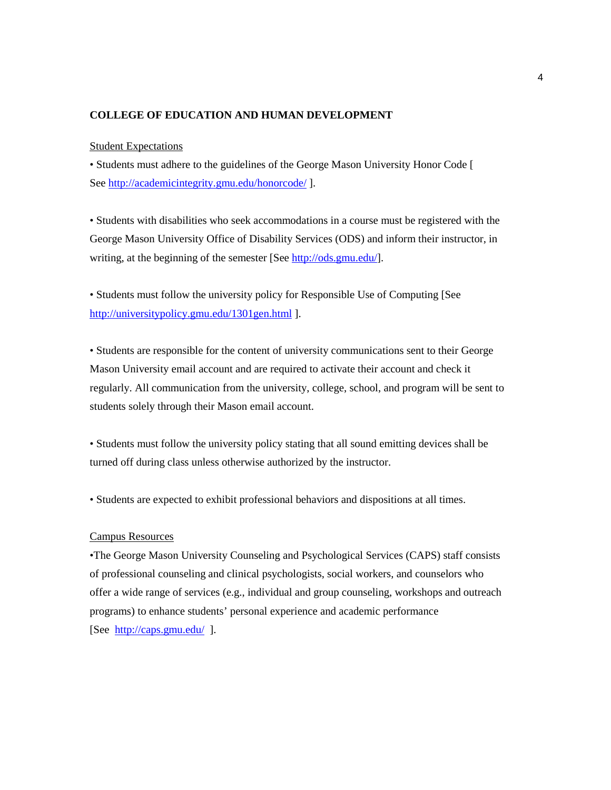### **COLLEGE OF EDUCATION AND HUMAN DEVELOPMENT**

#### Student Expectations

• Students must adhere to the guidelines of the George Mason University Honor Code [ See<http://academicintegrity.gmu.edu/honorcode/> ].

• Students with disabilities who seek accommodations in a course must be registered with the George Mason University Office of Disability Services (ODS) and inform their instructor, in writing, at the beginning of the semester [See [http://ods.gmu.edu/\]](http://ods.gmu.edu/).

• Students must follow the university policy for Responsible Use of Computing [See <http://universitypolicy.gmu.edu/1301gen.html> ].

• Students are responsible for the content of university communications sent to their George Mason University email account and are required to activate their account and check it regularly. All communication from the university, college, school, and program will be sent to students solely through their Mason email account.

• Students must follow the university policy stating that all sound emitting devices shall be turned off during class unless otherwise authorized by the instructor.

• Students are expected to exhibit professional behaviors and dispositions at all times.

#### Campus Resources

•The George Mason University Counseling and Psychological Services (CAPS) staff consists of professional counseling and clinical psychologists, social workers, and counselors who offer a wide range of services (e.g., individual and group counseling, workshops and outreach programs) to enhance students' personal experience and academic performance [See <http://caps.gmu.edu/>].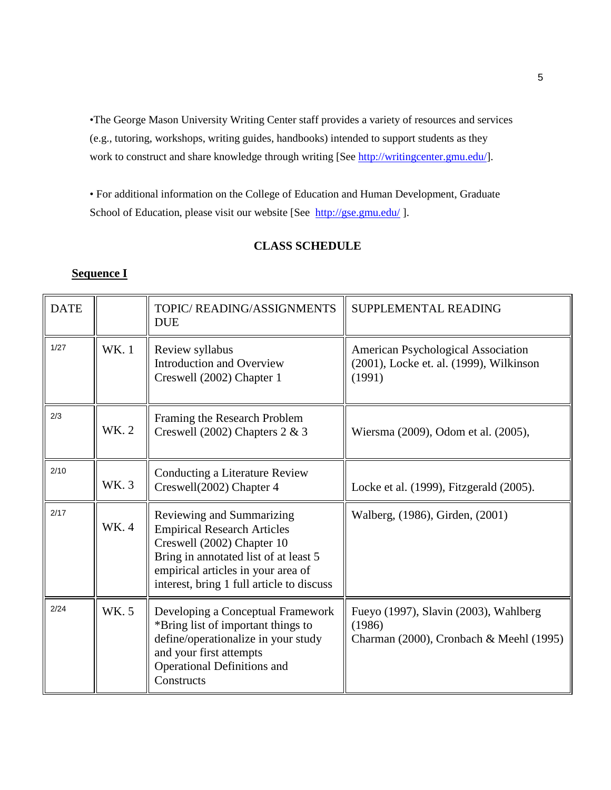•The George Mason University Writing Center staff provides a variety of resources and services (e.g., tutoring, workshops, writing guides, handbooks) intended to support students as they work to construct and share knowledge through writing [See [http://writingcenter.gmu.edu/\]](http://writingcenter.gmu.edu/).

• For additional information on the College of Education and Human Development, Graduate School of Education, please visit our website [See <http://gse.gmu.edu/>].

## **CLASS SCHEDULE**

# **Sequence I**

| <b>DATE</b> |       | TOPIC/READING/ASSIGNMENTS<br><b>DUE</b>                                                                                                                                                                                   | SUPPLEMENTAL READING                                                                           |
|-------------|-------|---------------------------------------------------------------------------------------------------------------------------------------------------------------------------------------------------------------------------|------------------------------------------------------------------------------------------------|
| 1/27        | WK. 1 | Review syllabus<br><b>Introduction and Overview</b><br>Creswell (2002) Chapter 1                                                                                                                                          | <b>American Psychological Association</b><br>(2001), Locke et. al. (1999), Wilkinson<br>(1991) |
| 2/3         | WK. 2 | Framing the Research Problem<br>Creswell (2002) Chapters $2 \& 3$                                                                                                                                                         | Wiersma (2009), Odom et al. (2005),                                                            |
| 2/10        | WK. 3 | Conducting a Literature Review<br>Creswell(2002) Chapter 4                                                                                                                                                                | Locke et al. (1999), Fitzgerald (2005).                                                        |
| 2/17        | WK. 4 | Reviewing and Summarizing<br><b>Empirical Research Articles</b><br>Creswell (2002) Chapter 10<br>Bring in annotated list of at least 5<br>empirical articles in your area of<br>interest, bring 1 full article to discuss | Walberg, (1986), Girden, (2001)                                                                |
| 2/24        | WK. 5 | Developing a Conceptual Framework<br>*Bring list of important things to<br>define/operationalize in your study<br>and your first attempts<br><b>Operational Definitions and</b><br>Constructs                             | Fueyo (1997), Slavin (2003), Wahlberg<br>(1986)<br>Charman (2000), Cronbach & Meehl (1995)     |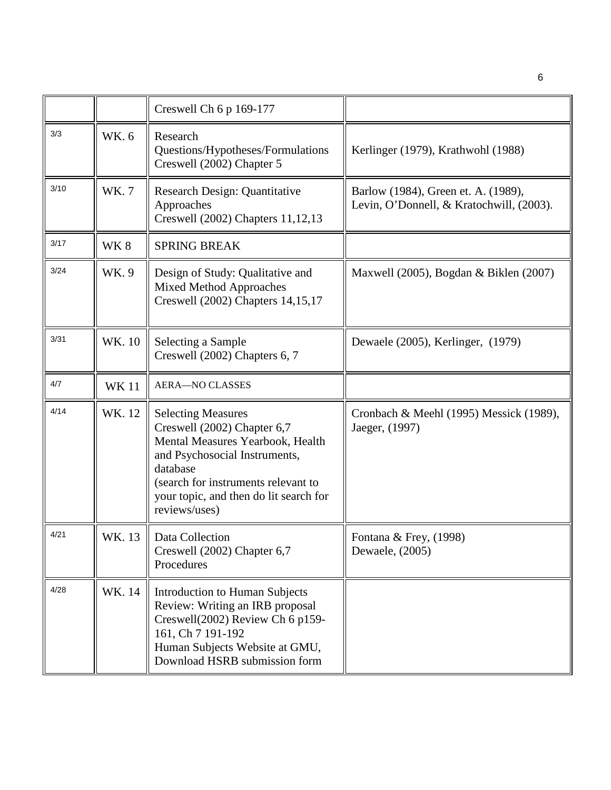|      |             | Creswell Ch 6 p 169-177                                                                                                                                                                                                                     |                                                                                 |
|------|-------------|---------------------------------------------------------------------------------------------------------------------------------------------------------------------------------------------------------------------------------------------|---------------------------------------------------------------------------------|
| 3/3  | WK. 6       | Research<br>Questions/Hypotheses/Formulations<br>Creswell (2002) Chapter 5                                                                                                                                                                  | Kerlinger (1979), Krathwohl (1988)                                              |
| 3/10 | WK.7        | Research Design: Quantitative<br>Approaches<br>Creswell (2002) Chapters 11,12,13                                                                                                                                                            | Barlow (1984), Green et. A. (1989),<br>Levin, O'Donnell, & Kratochwill, (2003). |
| 3/17 | WK8         | <b>SPRING BREAK</b>                                                                                                                                                                                                                         |                                                                                 |
| 3/24 | WK.9        | Design of Study: Qualitative and<br><b>Mixed Method Approaches</b><br>Creswell (2002) Chapters 14,15,17                                                                                                                                     | Maxwell (2005), Bogdan & Biklen (2007)                                          |
| 3/31 | WK. 10      | Selecting a Sample<br>Creswell (2002) Chapters 6, 7                                                                                                                                                                                         | Dewaele (2005), Kerlinger, (1979)                                               |
| 4/7  | <b>WK11</b> | <b>AERA-NO CLASSES</b>                                                                                                                                                                                                                      |                                                                                 |
| 4/14 | WK. 12      | <b>Selecting Measures</b><br>Creswell (2002) Chapter 6,7<br>Mental Measures Yearbook, Health<br>and Psychosocial Instruments,<br>database<br>(search for instruments relevant to<br>your topic, and then do lit search for<br>reviews/uses) | Cronbach & Meehl (1995) Messick (1989),<br>Jaeger, (1997)                       |
| 4/21 | WK. 13      | Data Collection<br>Creswell (2002) Chapter 6,7<br>Procedures                                                                                                                                                                                | Fontana & Frey, (1998)<br>Dewaele, (2005)                                       |
| 4/28 | WK. 14      | <b>Introduction to Human Subjects</b><br>Review: Writing an IRB proposal<br>Creswell(2002) Review Ch 6 p159-<br>161, Ch 7 191-192<br>Human Subjects Website at GMU,<br>Download HSRB submission form                                        |                                                                                 |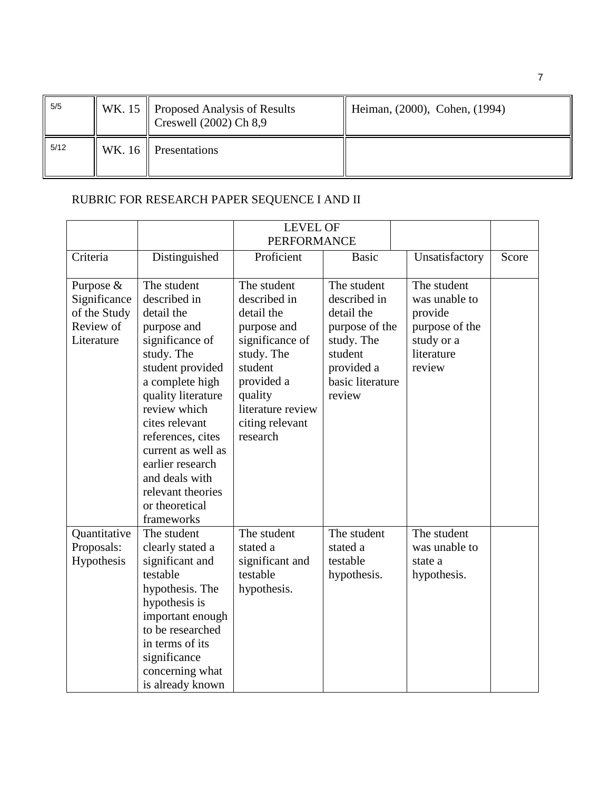| 5/5  | WK. 15 $\parallel$ Proposed Analysis of Results<br>Creswell $(2002)$ Ch 8,9 | Heiman, (2000), Cohen, (1994) |
|------|-----------------------------------------------------------------------------|-------------------------------|
| 5/12 | WK. 16   Presentations                                                      |                               |

# RUBRIC FOR RESEARCH PAPER SEQUENCE I AND II

|                                                                      |                                                                                                                                                                                                                                                                                                                                | <b>LEVEL OF</b><br><b>PERFORMANCE</b>                                                                                                                                             |                                                                                                                                  |                                                                                                 |       |
|----------------------------------------------------------------------|--------------------------------------------------------------------------------------------------------------------------------------------------------------------------------------------------------------------------------------------------------------------------------------------------------------------------------|-----------------------------------------------------------------------------------------------------------------------------------------------------------------------------------|----------------------------------------------------------------------------------------------------------------------------------|-------------------------------------------------------------------------------------------------|-------|
| Criteria                                                             | Distinguished                                                                                                                                                                                                                                                                                                                  | Proficient                                                                                                                                                                        | <b>Basic</b>                                                                                                                     | Unsatisfactory                                                                                  | Score |
| Purpose &<br>Significance<br>of the Study<br>Review of<br>Literature | The student<br>described in<br>detail the<br>purpose and<br>significance of<br>study. The<br>student provided<br>a complete high<br>quality literature<br>review which<br>cites relevant<br>references, cites<br>current as well as<br>earlier research<br>and deals with<br>relevant theories<br>or theoretical<br>frameworks | The student<br>described in<br>detail the<br>purpose and<br>significance of<br>study. The<br>student<br>provided a<br>quality<br>literature review<br>citing relevant<br>research | The student<br>described in<br>detail the<br>purpose of the<br>study. The<br>student<br>provided a<br>basic literature<br>review | The student<br>was unable to<br>provide<br>purpose of the<br>study or a<br>literature<br>review |       |
| Quantitative<br>Proposals:<br>Hypothesis                             | The student<br>clearly stated a<br>significant and<br>testable<br>hypothesis. The<br>hypothesis is<br>important enough<br>to be researched<br>in terms of its<br>significance<br>concerning what<br>is already known                                                                                                           | The student<br>stated a<br>significant and<br>testable<br>hypothesis.                                                                                                             | The student<br>stated a<br>testable<br>hypothesis.                                                                               | The student<br>was unable to<br>state a<br>hypothesis.                                          |       |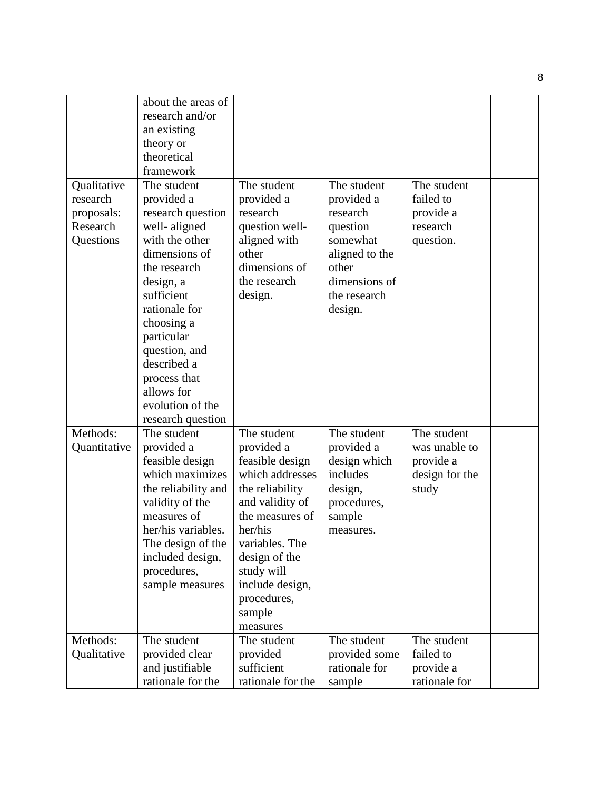|              | about the areas of  |                   |                |                |  |
|--------------|---------------------|-------------------|----------------|----------------|--|
|              | research and/or     |                   |                |                |  |
|              | an existing         |                   |                |                |  |
|              | theory or           |                   |                |                |  |
|              | theoretical         |                   |                |                |  |
|              | framework           |                   |                |                |  |
| Qualitative  | The student         | The student       | The student    | The student    |  |
| research     | provided a          | provided a        | provided a     | failed to      |  |
| proposals:   | research question   | research          | research       | provide a      |  |
| Research     | well-aligned        | question well-    | question       | research       |  |
| Questions    | with the other      | aligned with      | somewhat       | question.      |  |
|              | dimensions of       | other             | aligned to the |                |  |
|              | the research        | dimensions of     | other          |                |  |
|              | design, a           | the research      | dimensions of  |                |  |
|              | sufficient          | design.           | the research   |                |  |
|              | rationale for       |                   | design.        |                |  |
|              | choosing a          |                   |                |                |  |
|              | particular          |                   |                |                |  |
|              | question, and       |                   |                |                |  |
|              | described a         |                   |                |                |  |
|              | process that        |                   |                |                |  |
|              | allows for          |                   |                |                |  |
|              | evolution of the    |                   |                |                |  |
|              | research question   |                   |                |                |  |
| Methods:     | The student         | The student       | The student    | The student    |  |
| Quantitative | provided a          | provided a        | provided a     | was unable to  |  |
|              | feasible design     | feasible design   | design which   | provide a      |  |
|              | which maximizes     | which addresses   | includes       | design for the |  |
|              | the reliability and | the reliability   | design,        | study          |  |
|              | validity of the     | and validity of   | procedures,    |                |  |
|              | measures of         | the measures of   | sample         |                |  |
|              | her/his variables.  | her/his           | measures.      |                |  |
|              | The design of the   | variables. The    |                |                |  |
|              | included design,    | design of the     |                |                |  |
|              | procedures,         | study will        |                |                |  |
|              | sample measures     | include design,   |                |                |  |
|              |                     | procedures,       |                |                |  |
|              |                     | sample            |                |                |  |
|              |                     | measures          |                |                |  |
| Methods:     | The student         | The student       | The student    | The student    |  |
| Qualitative  | provided clear      | provided          | provided some  | failed to      |  |
|              | and justifiable     | sufficient        | rationale for  | provide a      |  |
|              | rationale for the   | rationale for the | sample         | rationale for  |  |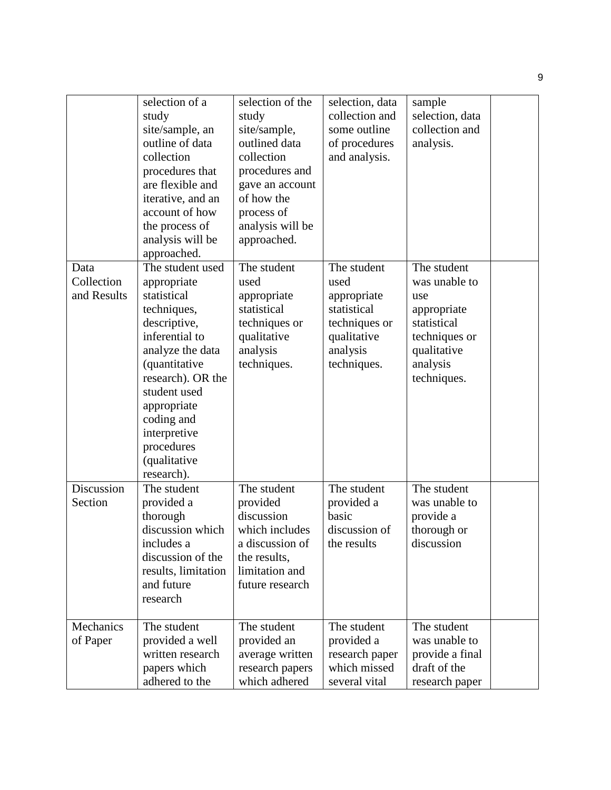|                                   | selection of a<br>study<br>site/sample, an<br>outline of data<br>collection<br>procedures that<br>are flexible and<br>iterative, and an<br>account of how<br>the process of<br>analysis will be<br>approached.                                                            | selection of the<br>study<br>site/sample,<br>outlined data<br>collection<br>procedures and<br>gave an account<br>of how the<br>process of<br>analysis will be<br>approached. | selection, data<br>collection and<br>some outline<br>of procedures<br>and analysis.                          | sample<br>selection, data<br>collection and<br>analysis.                                                                     |  |
|-----------------------------------|---------------------------------------------------------------------------------------------------------------------------------------------------------------------------------------------------------------------------------------------------------------------------|------------------------------------------------------------------------------------------------------------------------------------------------------------------------------|--------------------------------------------------------------------------------------------------------------|------------------------------------------------------------------------------------------------------------------------------|--|
| Data<br>Collection<br>and Results | The student used<br>appropriate<br>statistical<br>techniques,<br>descriptive,<br>inferential to<br>analyze the data<br><i>(quantitative</i><br>research). OR the<br>student used<br>appropriate<br>coding and<br>interpretive<br>procedures<br>(qualitative<br>research). | The student<br>used<br>appropriate<br>statistical<br>techniques or<br>qualitative<br>analysis<br>techniques.                                                                 | The student<br>used<br>appropriate<br>statistical<br>techniques or<br>qualitative<br>analysis<br>techniques. | The student<br>was unable to<br>use<br>appropriate<br>statistical<br>techniques or<br>qualitative<br>analysis<br>techniques. |  |
| Discussion<br>Section             | The student<br>provided a<br>thorough<br>discussion which<br>includes a<br>discussion of the<br>results, limitation<br>and future<br>research                                                                                                                             | The student<br>provided<br>discussion<br>which includes<br>a discussion of<br>the results,<br>limitation and<br>future research                                              | The student<br>provided a<br>basic<br>discussion of<br>the results                                           | The student<br>was unable to<br>provide a<br>thorough or<br>discussion                                                       |  |
| Mechanics<br>of Paper             | The student<br>provided a well<br>written research<br>papers which<br>adhered to the                                                                                                                                                                                      | The student<br>provided an<br>average written<br>research papers<br>which adhered                                                                                            | The student<br>provided a<br>research paper<br>which missed<br>several vital                                 | The student<br>was unable to<br>provide a final<br>draft of the<br>research paper                                            |  |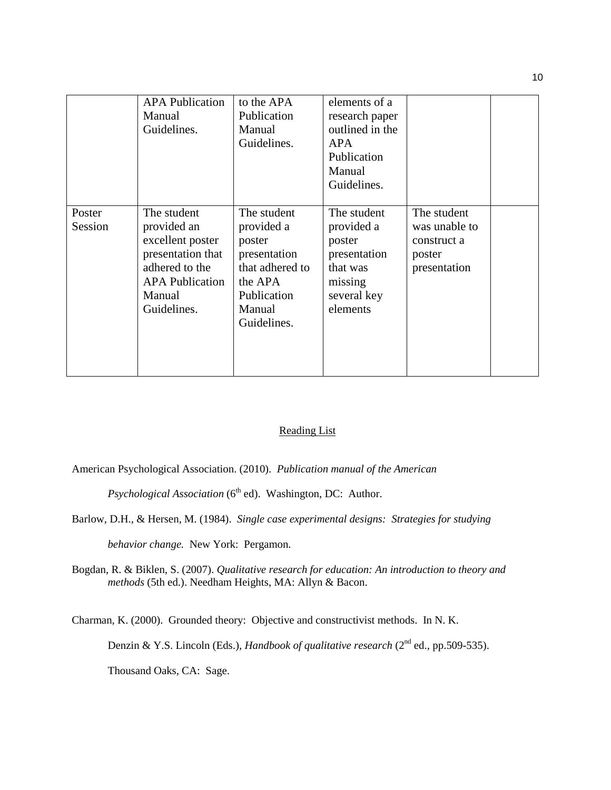|                   | <b>APA Publication</b><br>Manual<br>Guidelines.                                                                                          | to the APA<br>Publication<br>Manual<br>Guidelines.                                                                        | elements of a<br>research paper<br>outlined in the<br>APA.<br>Publication<br>Manual<br>Guidelines.    |                                                                       |  |
|-------------------|------------------------------------------------------------------------------------------------------------------------------------------|---------------------------------------------------------------------------------------------------------------------------|-------------------------------------------------------------------------------------------------------|-----------------------------------------------------------------------|--|
| Poster<br>Session | The student<br>provided an<br>excellent poster<br>presentation that<br>adhered to the<br><b>APA</b> Publication<br>Manual<br>Guidelines. | The student<br>provided a<br>poster<br>presentation<br>that adhered to<br>the APA<br>Publication<br>Manual<br>Guidelines. | The student<br>provided a<br>poster<br>presentation<br>that was<br>missing<br>several key<br>elements | The student<br>was unable to<br>construct a<br>poster<br>presentation |  |

#### Reading List

American Psychological Association. (2010). *Publication manual of the American* 

*Psychological Association* (6<sup>th</sup> ed). Washington, DC: Author.

Barlow, D.H., & Hersen, M. (1984). *Single case experimental designs: Strategies for studying*

*behavior change.* New York: Pergamon.

Bogdan, R. & Biklen, S. (2007). *Qualitative research for education: An introduction to theory and methods* (5th ed.). Needham Heights, MA: Allyn & Bacon.

Charman, K. (2000). Grounded theory: Objective and constructivist methods. In N. K.

Denzin & Y.S. Lincoln (Eds.), *Handbook of qualitative research* (2<sup>nd</sup> ed., pp.509-535).

Thousand Oaks, CA: Sage.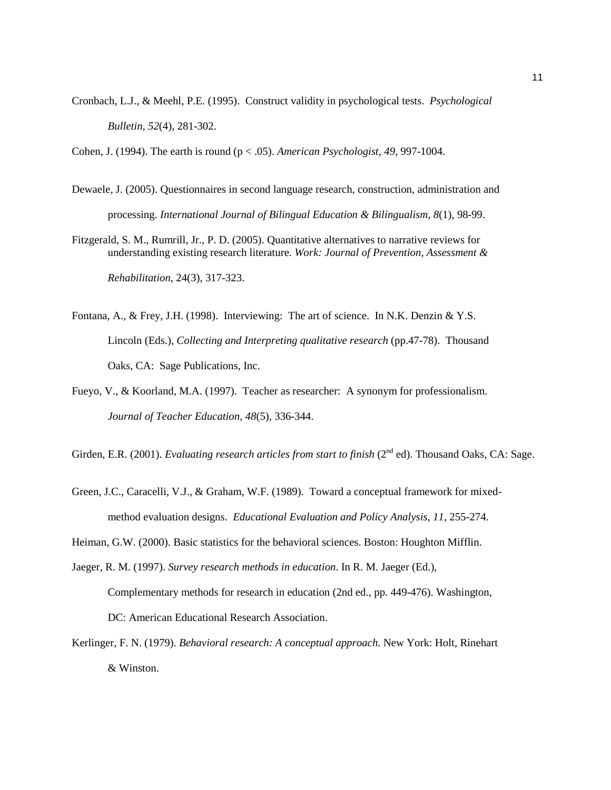Cronbach, L.J., & Meehl, P.E. (1995). Construct validity in psychological tests. *Psychological Bulletin, 52*(4), 281-302.

Cohen, J. (1994). The earth is round (p < .05). *American Psychologist, 49*, 997-1004.

- Dewaele, J. (2005). Questionnaires in second language research, construction, administration and processing. *International Journal of Bilingual Education & Bilingualism, 8*(1), 98-99.
- Fitzgerald, S. M., Rumrill, Jr., P. D. (2005). Quantitative alternatives to narrative reviews for understanding existing research literature. *Work: Journal of Prevention, Assessment & Rehabilitation*, 24(3), 317-323.
- Fontana, A., & Frey, J.H. (1998). Interviewing: The art of science. In N.K. Denzin & Y.S. Lincoln (Eds.), *Collecting and Interpreting qualitative research* (pp.47-78). Thousand Oaks, CA: Sage Publications, Inc.
- Fueyo, V., & Koorland, M.A. (1997). Teacher as researcher: A synonym for professionalism. *Journal of Teacher Education, 48*(5), 336-344.

Girden, E.R. (2001). *Evaluating research articles from start to finish* (2<sup>nd</sup> ed). Thousand Oaks, CA: Sage.

Green, J.C., Caracelli, V.J., & Graham, W.F. (1989). Toward a conceptual framework for mixedmethod evaluation designs. *Educational Evaluation and Policy Analysis, 11*, 255-274.

Heiman, G.W. (2000). Basic statistics for the behavioral sciences. Boston: Houghton Mifflin.

- Jaeger, R. M. (1997). *Survey research methods in education*. In R. M. Jaeger (Ed.), Complementary methods for research in education (2nd ed., pp. 449-476). Washington, DC: American Educational Research Association.
- Kerlinger, F. N. (1979). *Behavioral research: A conceptual approach.* New York: Holt, Rinehart & Winston.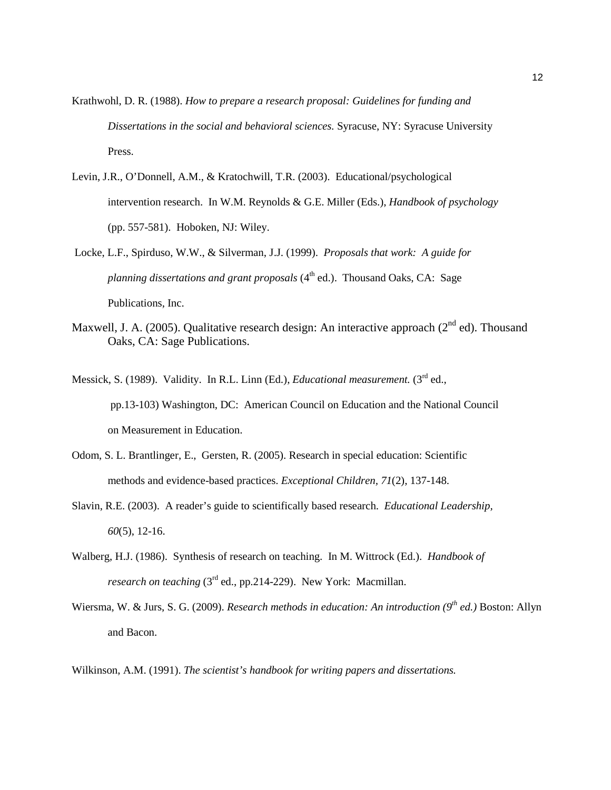- Krathwohl, D. R. (1988). *How to prepare a research proposal: Guidelines for funding and Dissertations in the social and behavioral sciences.* Syracuse, NY: Syracuse University Press.
- Levin, J.R., O'Donnell, A.M., & Kratochwill, T.R. (2003). Educational/psychological intervention research. In W.M. Reynolds & G.E. Miller (Eds.), *Handbook of psychology* (pp. 557-581). Hoboken, NJ: Wiley.
- Locke, L.F., Spirduso, W.W., & Silverman, J.J. (1999). *Proposals that work: A guide for planning dissertations and grant proposals* (4<sup>th</sup> ed.). Thousand Oaks, CA: Sage Publications, Inc.
- Maxwell, J. A. (2005). Qualitative research design: An interactive approach ( $2<sup>nd</sup>$  ed). Thousand Oaks, CA: Sage Publications.
- Messick, S. (1989). Validity. In R.L. Linn (Ed.), *Educational measurement*. (3<sup>rd</sup> ed., pp.13-103) Washington, DC: American Council on Education and the National Council on Measurement in Education.
- Odom, S. L. Brantlinger, E., Gersten, R. (2005). Research in special education: Scientific methods and evidence-based practices. *Exceptional Children, 71*(2), 137-148.
- Slavin, R.E. (2003). A reader's guide to scientifically based research. *Educational Leadership, 60*(5), 12-16.
- Walberg, H.J. (1986). Synthesis of research on teaching. In M. Wittrock (Ed.). *Handbook of research on teaching* (3<sup>rd</sup> ed., pp.214-229). New York: Macmillan.
- Wiersma, W. & Jurs, S. G. (2009). *Research methods in education: An introduction (9th ed.)* Boston: Allyn and Bacon.

Wilkinson, A.M. (1991). *The scientist's handbook for writing papers and dissertations.*